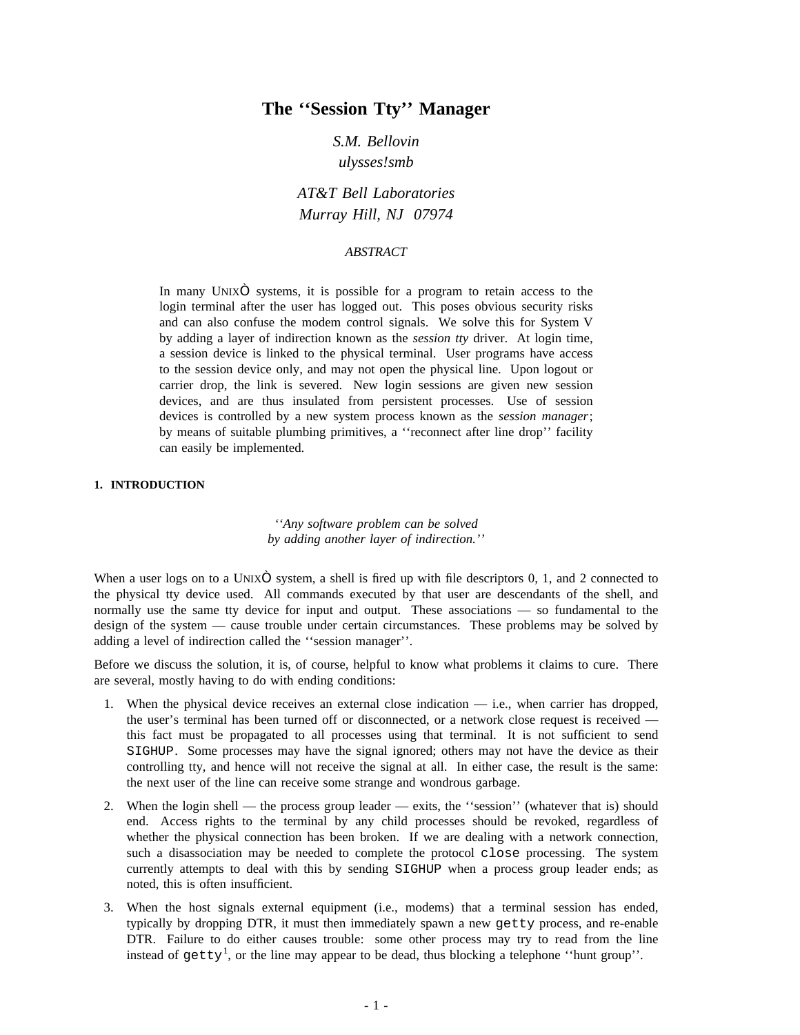# **The ''Session Tty'' Manager**

*S.M. Bellovin ulysses!smb*

*AT&T Bell Laboratories Murray Hill, NJ 07974*

### *ABSTRACT*

In many UNIX systems, it is possible for a program to retain access to the login terminal after the user has logged out. This poses obvious security risks and can also confuse the modem control signals. We solve this for System V by adding a layer of indirection known as the *session tty* driver. At login time, a session device is linked to the physical terminal. User programs have access to the session device only, and may not open the physical line. Upon logout or carrier drop, the link is severed. New login sessions are given new session devices, and are thus insulated from persistent processes. Use of session devices is controlled by a new system process known as the *session manager*; by means of suitable plumbing primitives, a ''reconnect after line drop'' facility can easily be implemented.

# **1. INTRODUCTION**

*''Any software problem can be solved by adding another layer of indirection.''*

When a user logs on to a UNIX system, a shell is fired up with file descriptors 0, 1, and 2 connected to the physical tty device used. All commands executed by that user are descendants of the shell, and normally use the same tty device for input and output. These associations — so fundamental to the design of the system — cause trouble under certain circumstances. These problems may be solved by adding a level of indirection called the ''session manager''.

Before we discuss the solution, it is, of course, helpful to know what problems it claims to cure. There are several, mostly having to do with ending conditions:

- 1. When the physical device receives an external close indication i.e., when carrier has dropped, the user's terminal has been turned off or disconnected, or a network close request is received this fact must be propagated to all processes using that terminal. It is not sufficient to send SIGHUP. Some processes may have the signal ignored; others may not have the device as their controlling tty, and hence will not receive the signal at all. In either case, the result is the same: the next user of the line can receive some strange and wondrous garbage.
- 2. When the login shell the process group leader exits, the ''session'' (whatever that is) should end. Access rights to the terminal by any child processes should be revoked, regardless of whether the physical connection has been broken. If we are dealing with a network connection, such a disassociation may be needed to complete the protocol close processing. The system currently attempts to deal with this by sending SIGHUP when a process group leader ends; as noted, this is often insufficient.
- 3. When the host signals external equipment (i.e., modems) that a terminal session has ended, typically by dropping DTR, it must then immediately spawn a new getty process, and re-enable DTR. Failure to do either causes trouble: some other process may try to read from the line instead of  $\text{getty}^1$ , or the line may appear to be dead, thus blocking a telephone "hunt group".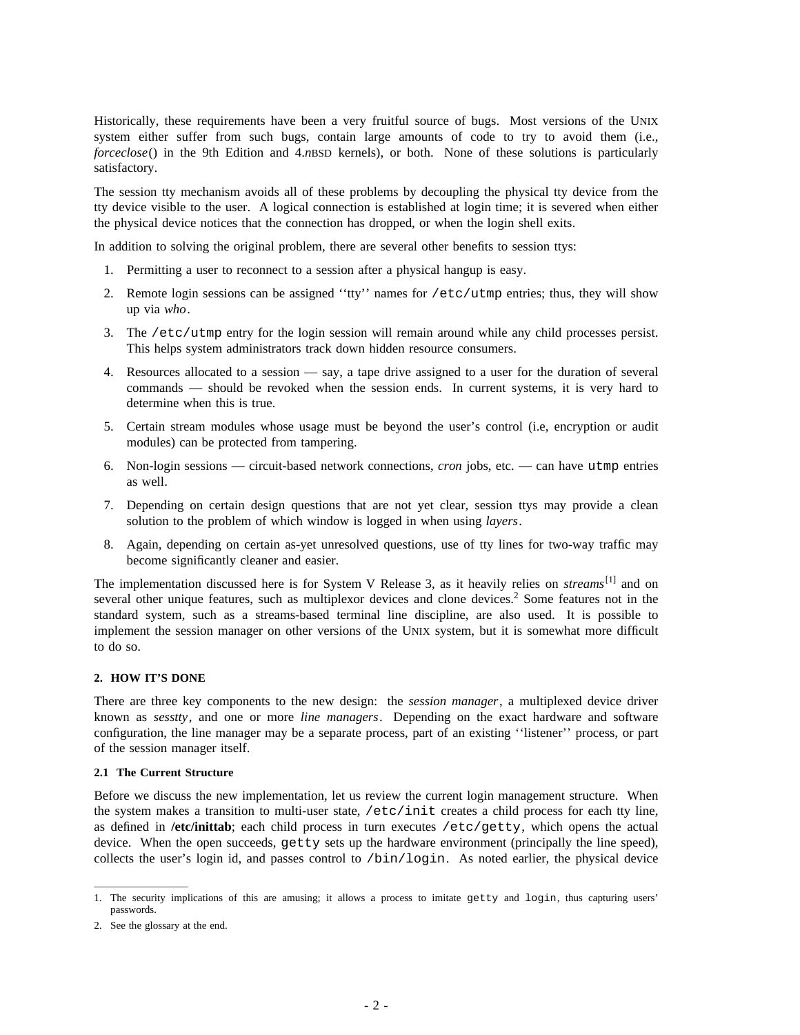Historically, these requirements have been a very fruitful source of bugs. Most versions of the UNIX system either suffer from such bugs, contain large amounts of code to try to avoid them (i.e., *forceclose*() in the 9th Edition and 4.*n*BSD kernels), or both. None of these solutions is particularly satisfactory.

The session tty mechanism avoids all of these problems by decoupling the physical tty device from the tty device visible to the user. A logical connection is established at login time; it is severed when either the physical device notices that the connection has dropped, or when the login shell exits.

In addition to solving the original problem, there are several other benefits to session ttys:

- 1. Permitting a user to reconnect to a session after a physical hangup is easy.
- 2. Remote login sessions can be assigned ''tty'' names for /etc/utmp entries; thus, they will show up via *who*.
- 3. The /etc/utmp entry for the login session will remain around while any child processes persist. This helps system administrators track down hidden resource consumers.
- 4. Resources allocated to a session say, a tape drive assigned to a user for the duration of several commands — should be revoked when the session ends. In current systems, it is very hard to determine when this is true.
- 5. Certain stream modules whose usage must be beyond the user's control (i.e, encryption or audit modules) can be protected from tampering.
- 6. Non-login sessions circuit-based network connections, *cron* jobs, etc. can have utmp entries as well.
- 7. Depending on certain design questions that are not yet clear, session ttys may provide a clean solution to the problem of which window is logged in when using *layers*.
- 8. Again, depending on certain as-yet unresolved questions, use of tty lines for two-way traffic may become significantly cleaner and easier.

The implementation discussed here is for System V Release 3, as it heavily relies on *streams*[1] and on several other unique features, such as multiplexor devices and clone devices.<sup>2</sup> Some features not in the standard system, such as a streams-based terminal line discipline, are also used. It is possible to implement the session manager on other versions of the UNIX system, but it is somewhat more difficult to do so.

### **2. HOW IT'S DONE**

There are three key components to the new design: the *session manager*, a multiplexed device driver known as *sesstty*, and one or more *line managers*. Depending on the exact hardware and software configuration, the line manager may be a separate process, part of an existing ''listener'' process, or part of the session manager itself.

#### **2.1 The Current Structure**

Before we discuss the new implementation, let us review the current login management structure. When the system makes a transition to multi-user state, /etc/init creates a child process for each tty line, as defined in **/etc/inittab**; each child process in turn executes /etc/getty, which opens the actual device. When the open succeeds, getty sets up the hardware environment (principally the line speed), collects the user's login id, and passes control to /bin/login. As noted earlier, the physical device

 $\_$ 

<sup>1.</sup> The security implications of this are amusing; it allows a process to imitate getty and login, thus capturing users' passwords.

<sup>2.</sup> See the glossary at the end.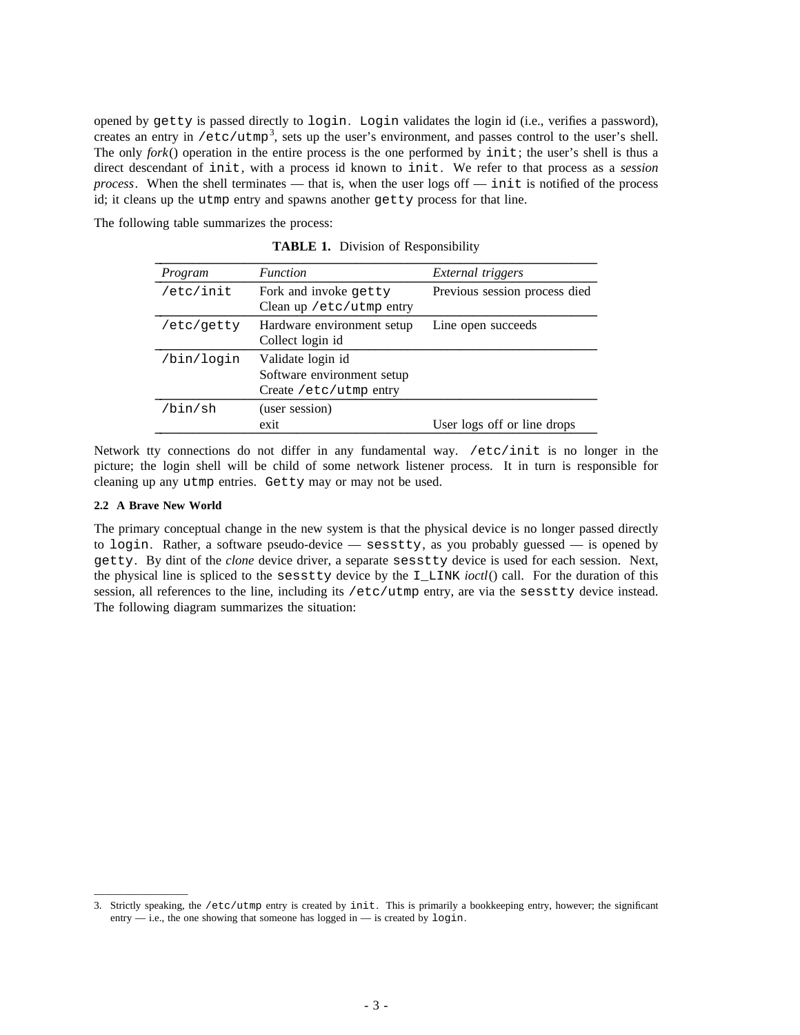opened by getty is passed directly to login. Login validates the login id (i.e., verifies a password), creates an entry in /etc/utmp<sup>3</sup>, sets up the user's environment, and passes control to the user's shell. The only *fork*() operation in the entire process is the one performed by init; the user's shell is thus a direct descendant of init, with a process id known to init. We refer to that process as a *session process*. When the shell terminates — that is, when the user logs off — init is notified of the process id; it cleans up the utmp entry and spawns another getty process for that line.

The following table summarizes the process:

| Program    | <b>Function</b>                                                             | External triggers             |
|------------|-----------------------------------------------------------------------------|-------------------------------|
| /etc/init  | Fork and invoke getty<br>Clean up / $etc$ /utmp entry                       | Previous session process died |
| /etc/getty | Hardware environment setup<br>Collect login id                              | Line open succeeds            |
| /bin/login | Validate login id<br>Software environment setup<br>Create $/etc/utmp$ entry |                               |
| /bin/sh    | (user session)<br>exit                                                      | User logs off or line drops   |

**TABLE 1.** Division of Responsibility

Network tty connections do not differ in any fundamental way. /etc/init is no longer in the picture; the login shell will be child of some network listener process. It in turn is responsible for cleaning up any utmp entries. Getty may or may not be used.

#### **2.2 A Brave New World**

 $\_$ 

The primary conceptual change in the new system is that the physical device is no longer passed directly to login. Rather, a software pseudo-device — sesstty, as you probably guessed — is opened by getty. By dint of the *clone* device driver, a separate sesstty device is used for each session. Next, the physical line is spliced to the sesstty device by the I\_LINK *ioctl*() call. For the duration of this session, all references to the line, including its /etc/utmp entry, are via the sesstty device instead. The following diagram summarizes the situation:

<sup>3.</sup> Strictly speaking, the /etc/utmp entry is created by init. This is primarily a bookkeeping entry, however; the significant entry  $-$  i.e., the one showing that someone has logged in  $-$  is created by login.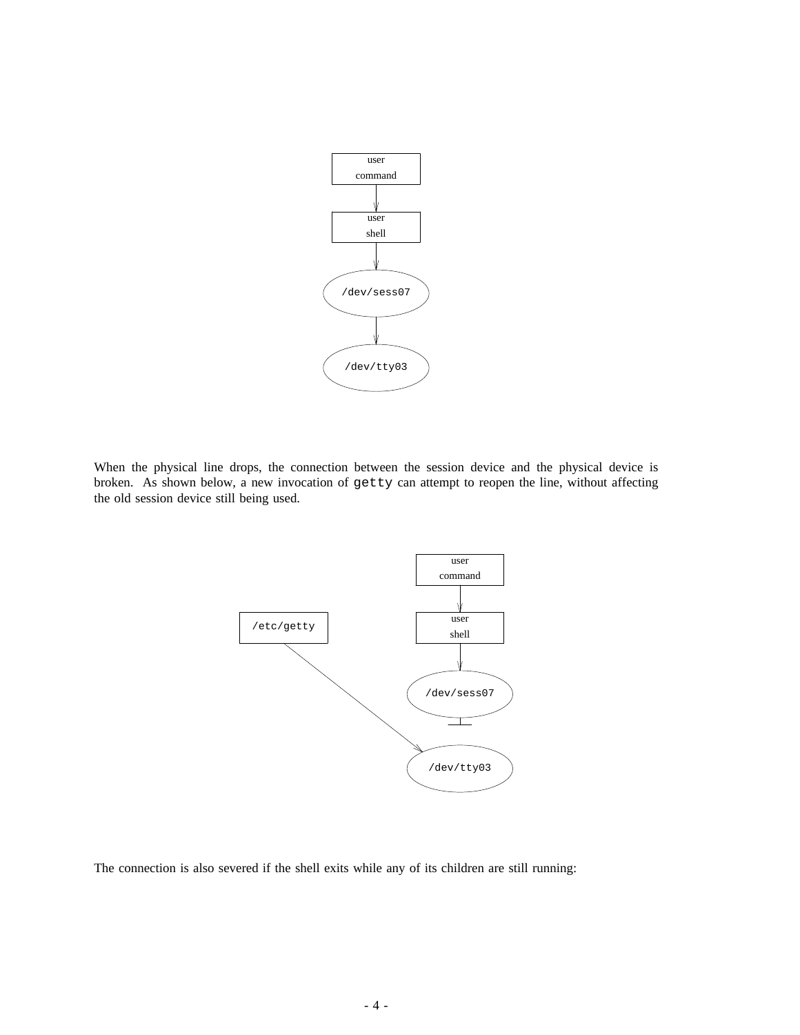

When the physical line drops, the connection between the session device and the physical device is broken. As shown below, a new invocation of getty can attempt to reopen the line, without affecting the old session device still being used.



The connection is also severed if the shell exits while any of its children are still running: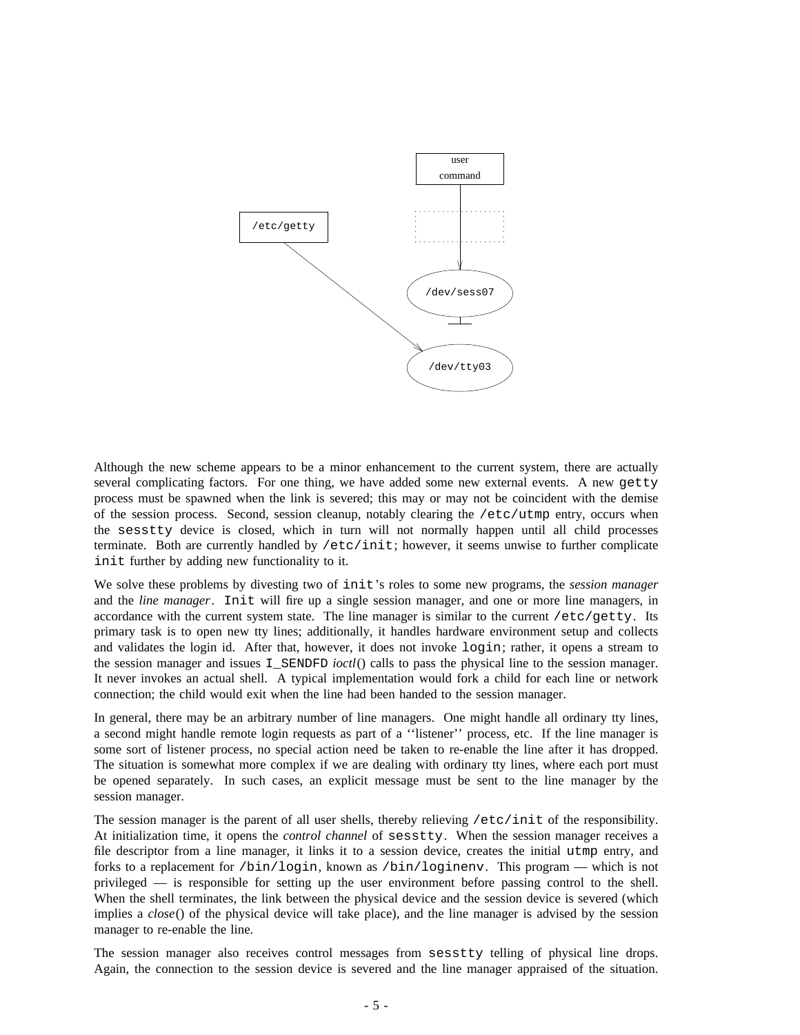

Although the new scheme appears to be a minor enhancement to the current system, there are actually several complicating factors. For one thing, we have added some new external events. A new getty process must be spawned when the link is severed; this may or may not be coincident with the demise of the session process. Second, session cleanup, notably clearing the /etc/utmp entry, occurs when the sesstty device is closed, which in turn will not normally happen until all child processes terminate. Both are currently handled by /etc/init; however, it seems unwise to further complicate init further by adding new functionality to it.

We solve these problems by divesting two of init's roles to some new programs, the *session manager* and the *line manager*. Init will fire up a single session manager, and one or more line managers, in accordance with the current system state. The line manager is similar to the current /etc/getty. Its primary task is to open new tty lines; additionally, it handles hardware environment setup and collects and validates the login id. After that, however, it does not invoke login; rather, it opens a stream to the session manager and issues I\_SENDFD *ioctl*() calls to pass the physical line to the session manager. It never invokes an actual shell. A typical implementation would fork a child for each line or network connection; the child would exit when the line had been handed to the session manager.

In general, there may be an arbitrary number of line managers. One might handle all ordinary tty lines, a second might handle remote login requests as part of a ''listener'' process, etc. If the line manager is some sort of listener process, no special action need be taken to re-enable the line after it has dropped. The situation is somewhat more complex if we are dealing with ordinary tty lines, where each port must be opened separately. In such cases, an explicit message must be sent to the line manager by the session manager.

The session manager is the parent of all user shells, thereby relieving /etc/init of the responsibility. At initialization time, it opens the *control channel* of sesstty. When the session manager receives a file descriptor from a line manager, it links it to a session device, creates the initial utmp entry, and forks to a replacement for /bin/login, known as /bin/loginenv. This program — which is not privileged — is responsible for setting up the user environment before passing control to the shell. When the shell terminates, the link between the physical device and the session device is severed (which implies a *close*() of the physical device will take place), and the line manager is advised by the session manager to re-enable the line.

The session manager also receives control messages from sesstty telling of physical line drops. Again, the connection to the session device is severed and the line manager appraised of the situation.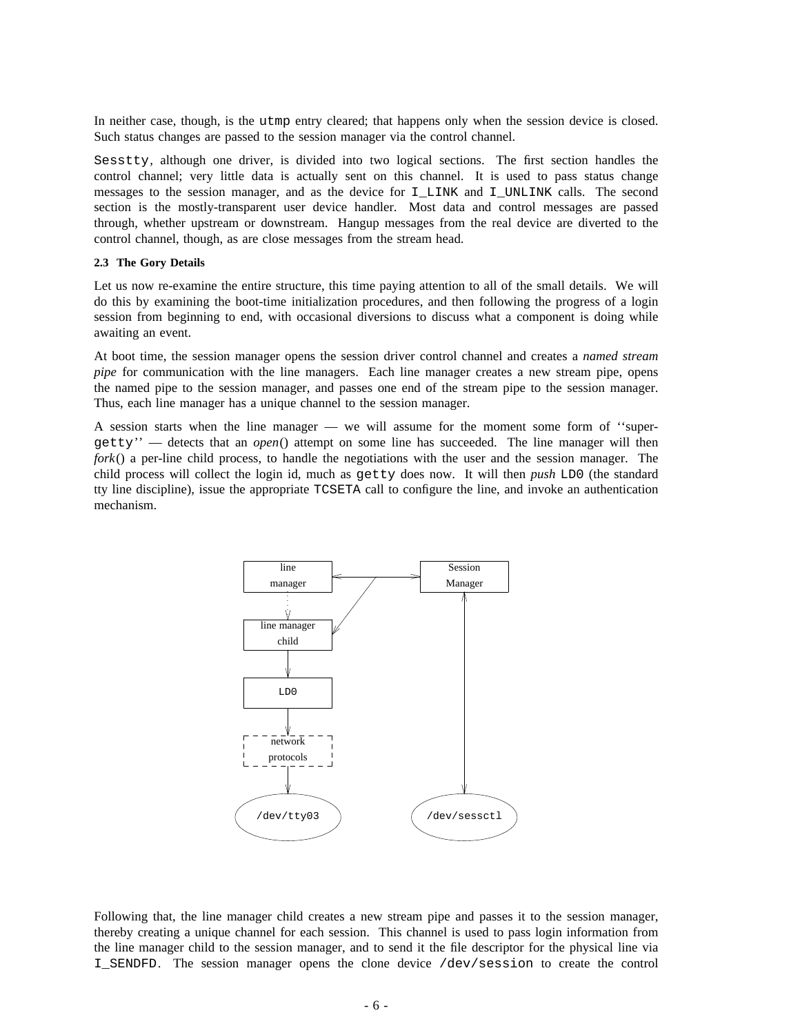In neither case, though, is the utmp entry cleared; that happens only when the session device is closed. Such status changes are passed to the session manager via the control channel.

Sesstty, although one driver, is divided into two logical sections. The first section handles the control channel; very little data is actually sent on this channel. It is used to pass status change messages to the session manager, and as the device for I\_LINK and I\_UNLINK calls. The second section is the mostly-transparent user device handler. Most data and control messages are passed through, whether upstream or downstream. Hangup messages from the real device are diverted to the control channel, though, as are close messages from the stream head.

#### **2.3 The Gory Details**

Let us now re-examine the entire structure, this time paying attention to all of the small details. We will do this by examining the boot-time initialization procedures, and then following the progress of a login session from beginning to end, with occasional diversions to discuss what a component is doing while awaiting an event.

At boot time, the session manager opens the session driver control channel and creates a *named stream pipe* for communication with the line managers. Each line manager creates a new stream pipe, opens the named pipe to the session manager, and passes one end of the stream pipe to the session manager. Thus, each line manager has a unique channel to the session manager.

A session starts when the line manager — we will assume for the moment some form of ''supergetty'' — detects that an *open*() attempt on some line has succeeded. The line manager will then *fork*() a per-line child process, to handle the negotiations with the user and the session manager. The child process will collect the login id, much as getty does now. It will then *push* LD0 (the standard tty line discipline), issue the appropriate TCSETA call to configure the line, and invoke an authentication mechanism.



Following that, the line manager child creates a new stream pipe and passes it to the session manager, thereby creating a unique channel for each session. This channel is used to pass login information from the line manager child to the session manager, and to send it the file descriptor for the physical line via I\_SENDFD. The session manager opens the clone device /dev/session to create the control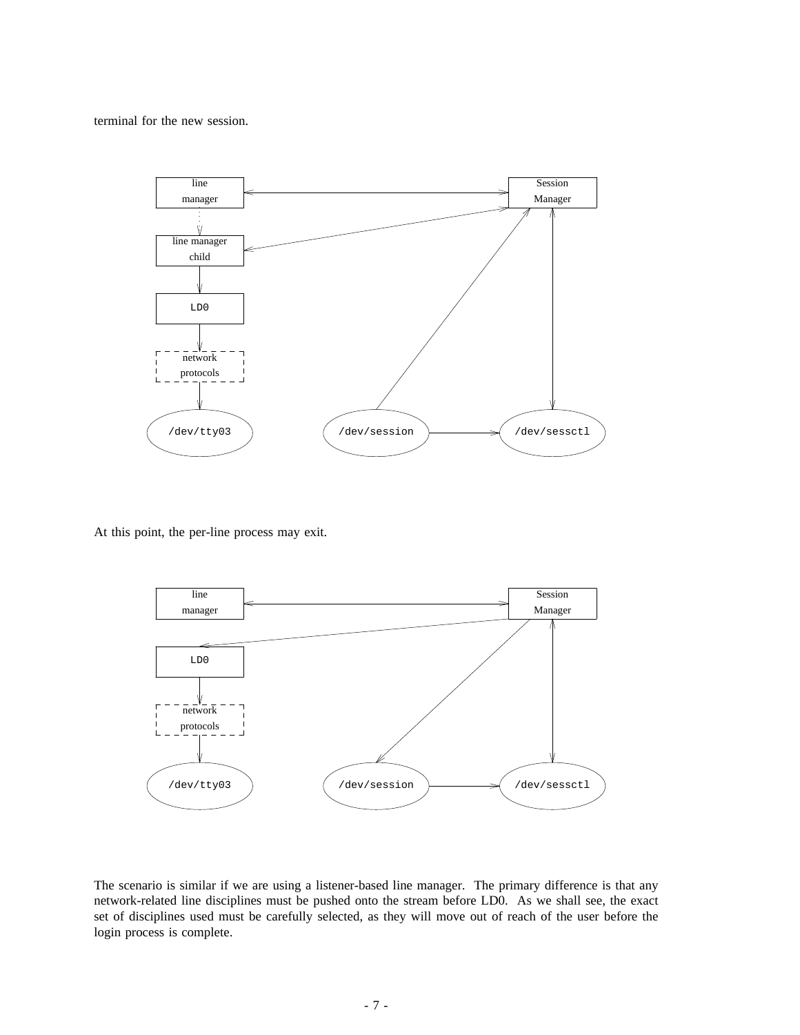terminal for the new session.



At this point, the per-line process may exit.



The scenario is similar if we are using a listener-based line manager. The primary difference is that any network-related line disciplines must be pushed onto the stream before LD0. As we shall see, the exact set of disciplines used must be carefully selected, as they will move out of reach of the user before the login process is complete.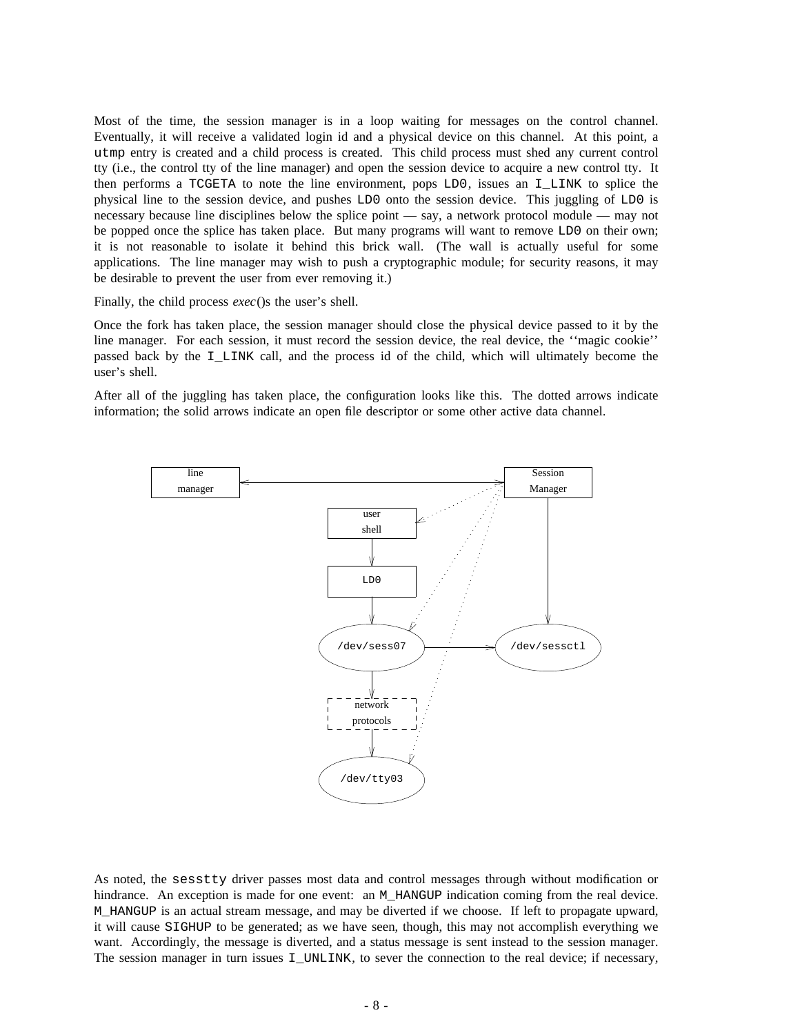Most of the time, the session manager is in a loop waiting for messages on the control channel. Eventually, it will receive a validated login id and a physical device on this channel. At this point, a utmp entry is created and a child process is created. This child process must shed any current control tty (i.e., the control tty of the line manager) and open the session device to acquire a new control tty. It then performs a TCGETA to note the line environment, pops LD0, issues an I\_LINK to splice the physical line to the session device, and pushes LD0 onto the session device. This juggling of LD0 is necessary because line disciplines below the splice point — say, a network protocol module — may not be popped once the splice has taken place. But many programs will want to remove LD0 on their own; it is not reasonable to isolate it behind this brick wall. (The wall is actually useful for some applications. The line manager may wish to push a cryptographic module; for security reasons, it may be desirable to prevent the user from ever removing it.)

Finally, the child process *exec*()s the user's shell.

Once the fork has taken place, the session manager should close the physical device passed to it by the line manager. For each session, it must record the session device, the real device, the ''magic cookie'' passed back by the I\_LINK call, and the process id of the child, which will ultimately become the user's shell.

After all of the juggling has taken place, the configuration looks like this. The dotted arrows indicate information; the solid arrows indicate an open file descriptor or some other active data channel.



As noted, the sesstty driver passes most data and control messages through without modification or hindrance. An exception is made for one event: an M\_HANGUP indication coming from the real device. M\_HANGUP is an actual stream message, and may be diverted if we choose. If left to propagate upward, it will cause SIGHUP to be generated; as we have seen, though, this may not accomplish everything we want. Accordingly, the message is diverted, and a status message is sent instead to the session manager. The session manager in turn issues I\_UNLINK, to sever the connection to the real device; if necessary,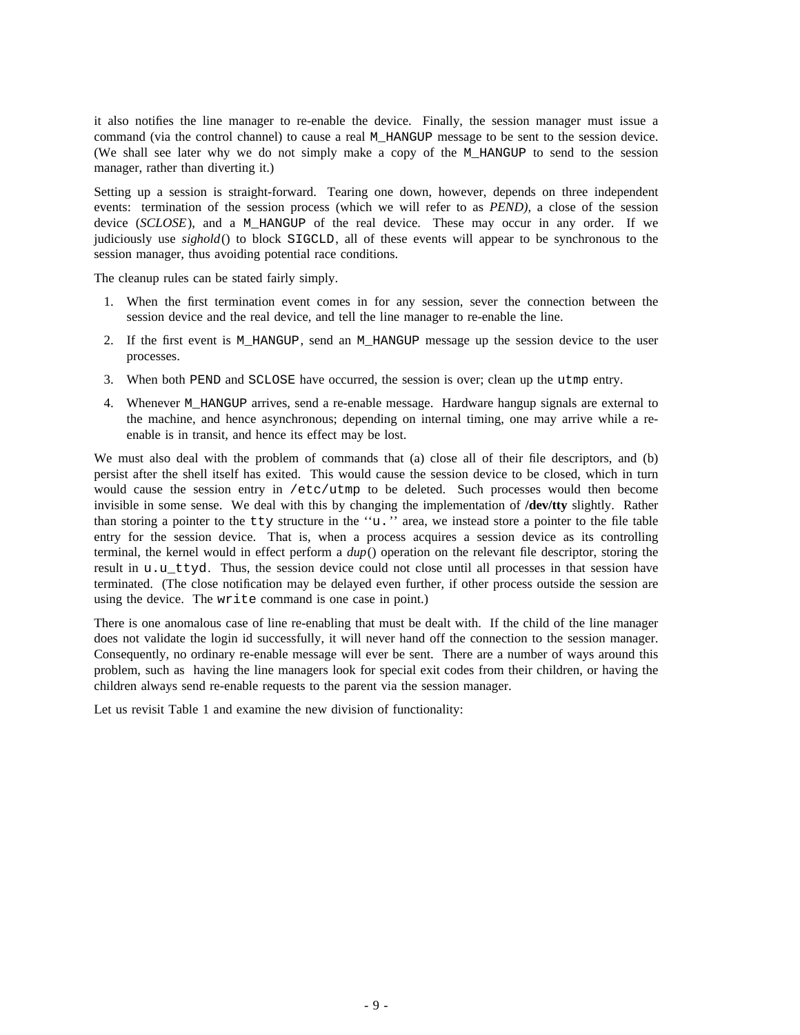it also notifies the line manager to re-enable the device. Finally, the session manager must issue a command (via the control channel) to cause a real M\_HANGUP message to be sent to the session device. (We shall see later why we do not simply make a copy of the M\_HANGUP to send to the session manager, rather than diverting it.)

Setting up a session is straight-forward. Tearing one down, however, depends on three independent events: termination of the session process (which we will refer to as *PEND),* a close of the session device (*SCLOSE*), and a M\_HANGUP of the real device. These may occur in any order. If we judiciously use *sighold*() to block SIGCLD, all of these events will appear to be synchronous to the session manager, thus avoiding potential race conditions.

The cleanup rules can be stated fairly simply.

- 1. When the first termination event comes in for any session, sever the connection between the session device and the real device, and tell the line manager to re-enable the line.
- 2. If the first event is M\_HANGUP, send an M\_HANGUP message up the session device to the user processes.
- 3. When both PEND and SCLOSE have occurred, the session is over; clean up the utmp entry.
- 4. Whenever M\_HANGUP arrives, send a re-enable message. Hardware hangup signals are external to the machine, and hence asynchronous; depending on internal timing, one may arrive while a reenable is in transit, and hence its effect may be lost.

We must also deal with the problem of commands that (a) close all of their file descriptors, and (b) persist after the shell itself has exited. This would cause the session device to be closed, which in turn would cause the session entry in /etc/utmp to be deleted. Such processes would then become invisible in some sense. We deal with this by changing the implementation of **/dev/tty** slightly. Rather than storing a pointer to the tty structure in the ''u.'' area, we instead store a pointer to the file table entry for the session device. That is, when a process acquires a session device as its controlling terminal, the kernel would in effect perform a *dup*() operation on the relevant file descriptor, storing the result in u.u\_ttyd. Thus, the session device could not close until all processes in that session have terminated. (The close notification may be delayed even further, if other process outside the session are using the device. The write command is one case in point.)

There is one anomalous case of line re-enabling that must be dealt with. If the child of the line manager does not validate the login id successfully, it will never hand off the connection to the session manager. Consequently, no ordinary re-enable message will ever be sent. There are a number of ways around this problem, such as having the line managers look for special exit codes from their children, or having the children always send re-enable requests to the parent via the session manager.

Let us revisit Table 1 and examine the new division of functionality: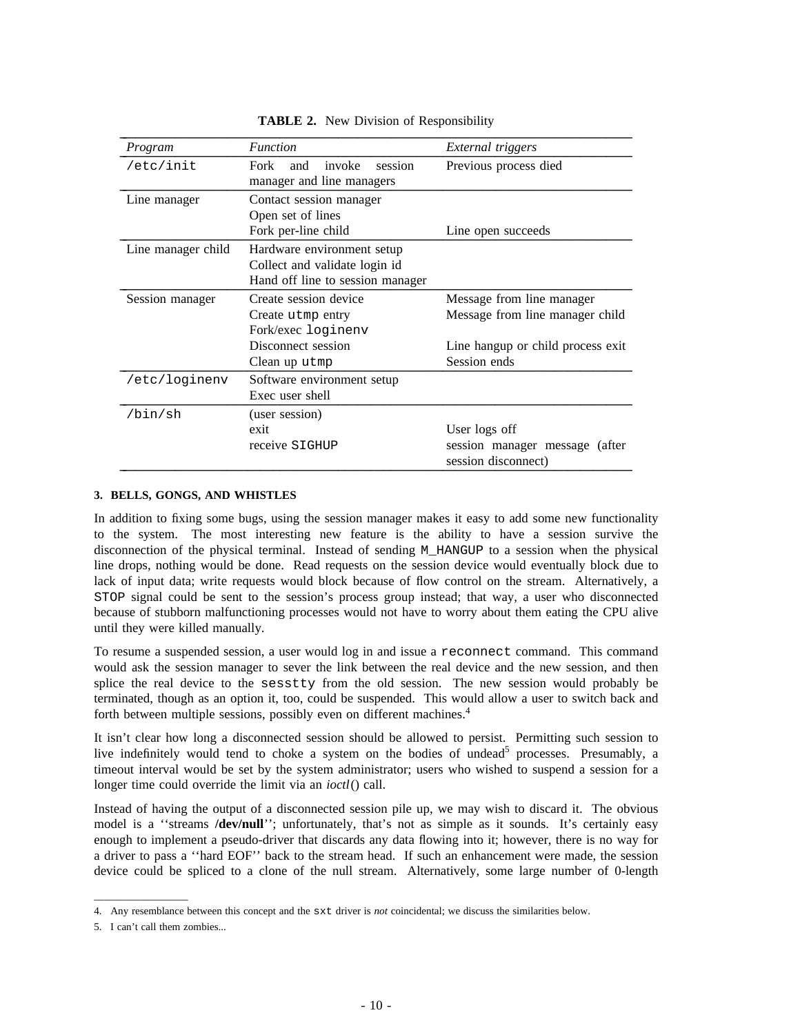| Program            | <b>Function</b>                                                   | External triggers                                     |
|--------------------|-------------------------------------------------------------------|-------------------------------------------------------|
| /etc/init          | invoke<br>Fork<br>and<br>session<br>manager and line managers     | Previous process died                                 |
| Line manager       | Contact session manager                                           |                                                       |
|                    | Open set of lines<br>Fork per-line child                          | Line open succeeds                                    |
| Line manager child | Hardware environment setup                                        |                                                       |
|                    | Collect and validate login id<br>Hand off line to session manager |                                                       |
| Session manager    | Create session device                                             | Message from line manager                             |
|                    | Create utmp entry                                                 | Message from line manager child                       |
|                    | Fork/exec loginenv                                                |                                                       |
|                    | Disconnect session                                                | Line hangup or child process exit                     |
|                    | Clean up utmp                                                     | Session ends                                          |
| /etc/loginenv      | Software environment setup                                        |                                                       |
|                    | Exec user shell                                                   |                                                       |
| /bin/sh            | (user session)                                                    |                                                       |
|                    | exit                                                              | User logs off                                         |
|                    | receive SIGHUP                                                    | session manager message (after<br>session disconnect) |

**TABLE 2.** New Division of Responsibility

### **3. BELLS, GONGS, AND WHISTLES**

In addition to fixing some bugs, using the session manager makes it easy to add some new functionality to the system. The most interesting new feature is the ability to have a session survive the disconnection of the physical terminal. Instead of sending M\_HANGUP to a session when the physical line drops, nothing would be done. Read requests on the session device would eventually block due to lack of input data; write requests would block because of flow control on the stream. Alternatively, a STOP signal could be sent to the session's process group instead; that way, a user who disconnected because of stubborn malfunctioning processes would not have to worry about them eating the CPU alive until they were killed manually.

To resume a suspended session, a user would log in and issue a reconnect command. This command would ask the session manager to sever the link between the real device and the new session, and then splice the real device to the sesstty from the old session. The new session would probably be terminated, though as an option it, too, could be suspended. This would allow a user to switch back and forth between multiple sessions, possibly even on different machines.<sup>4</sup>

It isn't clear how long a disconnected session should be allowed to persist. Permitting such session to live indefinitely would tend to choke a system on the bodies of undead<sup>5</sup> processes. Presumably, a timeout interval would be set by the system administrator; users who wished to suspend a session for a longer time could override the limit via an *ioctl*() call.

Instead of having the output of a disconnected session pile up, we may wish to discard it. The obvious model is a "streams **/dev/null**"; unfortunately, that's not as simple as it sounds. It's certainly easy enough to implement a pseudo-driver that discards any data flowing into it; however, there is no way for a driver to pass a ''hard EOF'' back to the stream head. If such an enhancement were made, the session device could be spliced to a clone of the null stream. Alternatively, some large number of 0-length

 $\_$ 

<sup>4.</sup> Any resemblance between this concept and the sxt driver is *not* coincidental; we discuss the similarities below.

<sup>5.</sup> I can't call them zombies...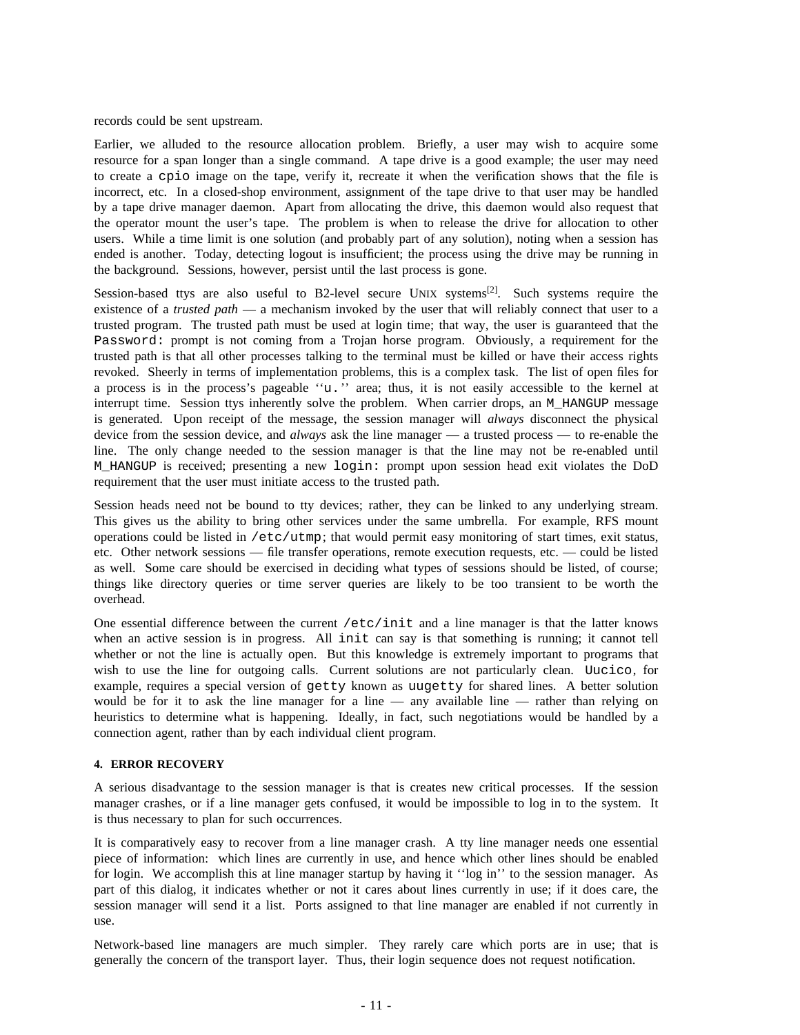records could be sent upstream.

Earlier, we alluded to the resource allocation problem. Briefly, a user may wish to acquire some resource for a span longer than a single command. A tape drive is a good example; the user may need to create a cpio image on the tape, verify it, recreate it when the verification shows that the file is incorrect, etc. In a closed-shop environment, assignment of the tape drive to that user may be handled by a tape drive manager daemon. Apart from allocating the drive, this daemon would also request that the operator mount the user's tape. The problem is when to release the drive for allocation to other users. While a time limit is one solution (and probably part of any solution), noting when a session has ended is another. Today, detecting logout is insufficient; the process using the drive may be running in the background. Sessions, however, persist until the last process is gone.

Session-based ttys are also useful to B2-level secure UNIX systems<sup>[2]</sup>. Such systems require the existence of a *trusted path* — a mechanism invoked by the user that will reliably connect that user to a trusted program. The trusted path must be used at login time; that way, the user is guaranteed that the Password: prompt is not coming from a Trojan horse program. Obviously, a requirement for the trusted path is that all other processes talking to the terminal must be killed or have their access rights revoked. Sheerly in terms of implementation problems, this is a complex task. The list of open files for a process is in the process's pageable ''u.'' area; thus, it is not easily accessible to the kernel at interrupt time. Session ttys inherently solve the problem. When carrier drops, an M\_HANGUP message is generated. Upon receipt of the message, the session manager will *always* disconnect the physical device from the session device, and *always* ask the line manager — a trusted process — to re-enable the line. The only change needed to the session manager is that the line may not be re-enabled until M\_HANGUP is received; presenting a new login: prompt upon session head exit violates the DoD requirement that the user must initiate access to the trusted path.

Session heads need not be bound to tty devices; rather, they can be linked to any underlying stream. This gives us the ability to bring other services under the same umbrella. For example, RFS mount operations could be listed in /etc/utmp; that would permit easy monitoring of start times, exit status, etc. Other network sessions — file transfer operations, remote execution requests, etc. — could be listed as well. Some care should be exercised in deciding what types of sessions should be listed, of course; things like directory queries or time server queries are likely to be too transient to be worth the overhead.

One essential difference between the current /etc/init and a line manager is that the latter knows when an active session is in progress. All init can say is that something is running; it cannot tell whether or not the line is actually open. But this knowledge is extremely important to programs that wish to use the line for outgoing calls. Current solutions are not particularly clean. Uucico, for example, requires a special version of getty known as uugetty for shared lines. A better solution would be for it to ask the line manager for a line — any available line — rather than relying on heuristics to determine what is happening. Ideally, in fact, such negotiations would be handled by a connection agent, rather than by each individual client program.

#### **4. ERROR RECOVERY**

A serious disadvantage to the session manager is that is creates new critical processes. If the session manager crashes, or if a line manager gets confused, it would be impossible to log in to the system. It is thus necessary to plan for such occurrences.

It is comparatively easy to recover from a line manager crash. A tty line manager needs one essential piece of information: which lines are currently in use, and hence which other lines should be enabled for login. We accomplish this at line manager startup by having it ''log in'' to the session manager. As part of this dialog, it indicates whether or not it cares about lines currently in use; if it does care, the session manager will send it a list. Ports assigned to that line manager are enabled if not currently in use.

Network-based line managers are much simpler. They rarely care which ports are in use; that is generally the concern of the transport layer. Thus, their login sequence does not request notification.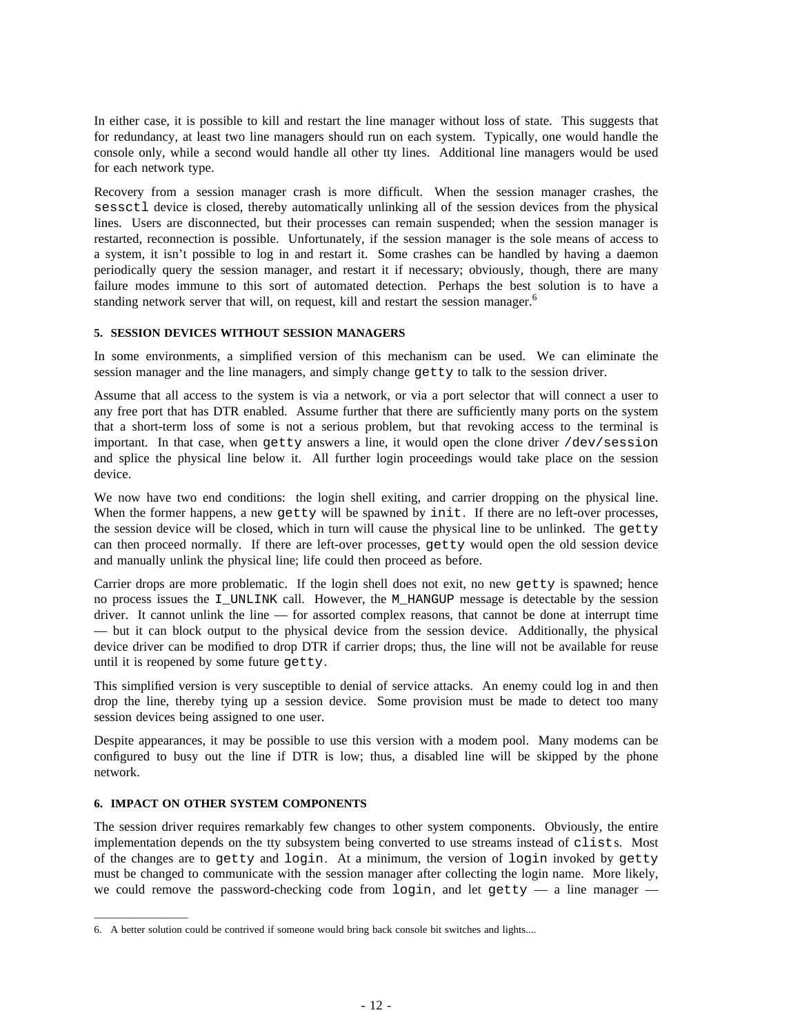In either case, it is possible to kill and restart the line manager without loss of state. This suggests that for redundancy, at least two line managers should run on each system. Typically, one would handle the console only, while a second would handle all other tty lines. Additional line managers would be used for each network type.

Recovery from a session manager crash is more difficult. When the session manager crashes, the sessctl device is closed, thereby automatically unlinking all of the session devices from the physical lines. Users are disconnected, but their processes can remain suspended; when the session manager is restarted, reconnection is possible. Unfortunately, if the session manager is the sole means of access to a system, it isn't possible to log in and restart it. Some crashes can be handled by having a daemon periodically query the session manager, and restart it if necessary; obviously, though, there are many failure modes immune to this sort of automated detection. Perhaps the best solution is to have a standing network server that will, on request, kill and restart the session manager.<sup>6</sup>

# **5. SESSION DEVICES WITHOUT SESSION MANAGERS**

In some environments, a simplified version of this mechanism can be used. We can eliminate the session manager and the line managers, and simply change getty to talk to the session driver.

Assume that all access to the system is via a network, or via a port selector that will connect a user to any free port that has DTR enabled. Assume further that there are sufficiently many ports on the system that a short-term loss of some is not a serious problem, but that revoking access to the terminal is important. In that case, when getty answers a line, it would open the clone driver /dev/session and splice the physical line below it. All further login proceedings would take place on the session device.

We now have two end conditions: the login shell exiting, and carrier dropping on the physical line. When the former happens, a new getty will be spawned by init. If there are no left-over processes, the session device will be closed, which in turn will cause the physical line to be unlinked. The getty can then proceed normally. If there are left-over processes, getty would open the old session device and manually unlink the physical line; life could then proceed as before.

Carrier drops are more problematic. If the login shell does not exit, no new getty is spawned; hence no process issues the I\_UNLINK call. However, the M\_HANGUP message is detectable by the session driver. It cannot unlink the line — for assorted complex reasons, that cannot be done at interrupt time — but it can block output to the physical device from the session device. Additionally, the physical device driver can be modified to drop DTR if carrier drops; thus, the line will not be available for reuse until it is reopened by some future getty.

This simplified version is very susceptible to denial of service attacks. An enemy could log in and then drop the line, thereby tying up a session device. Some provision must be made to detect too many session devices being assigned to one user.

Despite appearances, it may be possible to use this version with a modem pool. Many modems can be configured to busy out the line if DTR is low; thus, a disabled line will be skipped by the phone network.

#### **6. IMPACT ON OTHER SYSTEM COMPONENTS**

 $\_$ 

The session driver requires remarkably few changes to other system components. Obviously, the entire implementation depends on the tty subsystem being converted to use streams instead of clists. Most of the changes are to getty and login. At a minimum, the version of login invoked by getty must be changed to communicate with the session manager after collecting the login name. More likely, we could remove the password-checking code from  $l$  ogin, and let getty  $-$  a line manager  $-$ 

<sup>6.</sup> A better solution could be contrived if someone would bring back console bit switches and lights....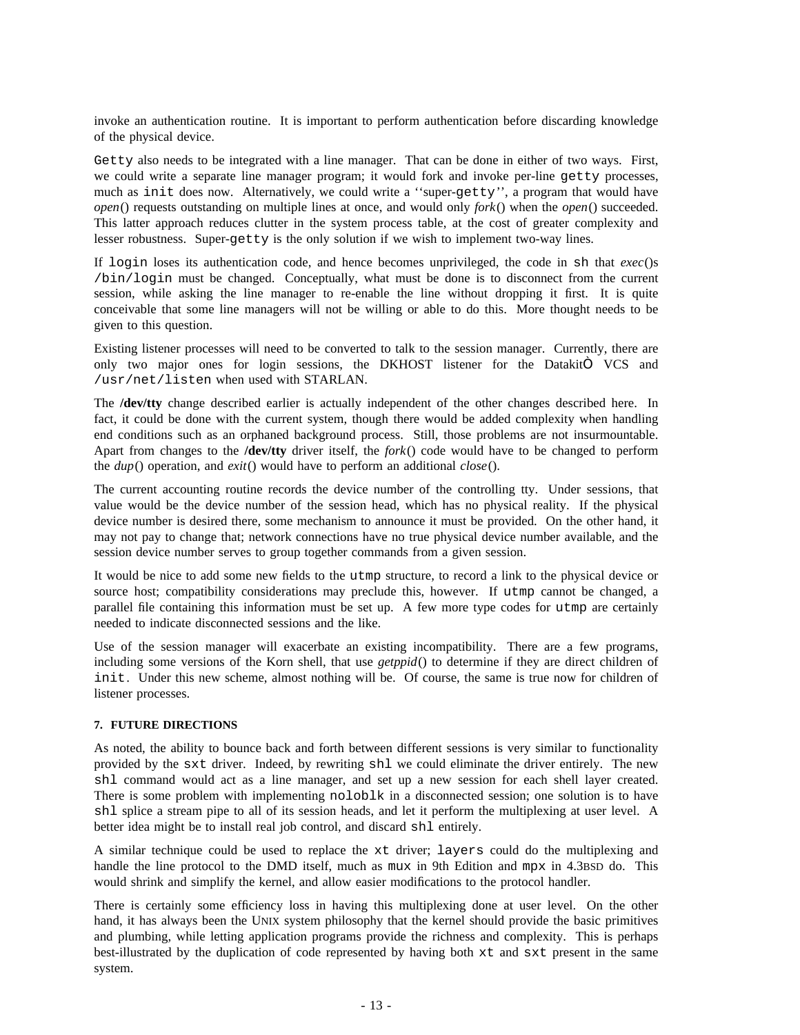invoke an authentication routine. It is important to perform authentication before discarding knowledge of the physical device.

Getty also needs to be integrated with a line manager. That can be done in either of two ways. First, we could write a separate line manager program; it would fork and invoke per-line getty processes, much as init does now. Alternatively, we could write a ''super-getty'', a program that would have *open*() requests outstanding on multiple lines at once, and would only *fork*() when the *open*() succeeded. This latter approach reduces clutter in the system process table, at the cost of greater complexity and lesser robustness. Super-getty is the only solution if we wish to implement two-way lines.

If login loses its authentication code, and hence becomes unprivileged, the code in sh that *exec*()s /bin/login must be changed. Conceptually, what must be done is to disconnect from the current session, while asking the line manager to re-enable the line without dropping it first. It is quite conceivable that some line managers will not be willing or able to do this. More thought needs to be given to this question.

Existing listener processes will need to be converted to talk to the session manager. Currently, there are only two major ones for login sessions, the DKHOST listener for the Datakit VCS and /usr/net/listen when used with STARLAN.

The **/dev/tty** change described earlier is actually independent of the other changes described here. In fact, it could be done with the current system, though there would be added complexity when handling end conditions such as an orphaned background process. Still, those problems are not insurmountable. Apart from changes to the **/dev/tty** driver itself, the *fork*() code would have to be changed to perform the *dup*() operation, and *exit*() would have to perform an additional *close*().

The current accounting routine records the device number of the controlling tty. Under sessions, that value would be the device number of the session head, which has no physical reality. If the physical device number is desired there, some mechanism to announce it must be provided. On the other hand, it may not pay to change that; network connections have no true physical device number available, and the session device number serves to group together commands from a given session.

It would be nice to add some new fields to the utmp structure, to record a link to the physical device or source host; compatibility considerations may preclude this, however. If utmp cannot be changed, a parallel file containing this information must be set up. A few more type codes for utmp are certainly needed to indicate disconnected sessions and the like.

Use of the session manager will exacerbate an existing incompatibility. There are a few programs, including some versions of the Korn shell, that use *getppid*() to determine if they are direct children of init. Under this new scheme, almost nothing will be. Of course, the same is true now for children of listener processes.

#### **7. FUTURE DIRECTIONS**

As noted, the ability to bounce back and forth between different sessions is very similar to functionality provided by the sxt driver. Indeed, by rewriting shl we could eliminate the driver entirely. The new shl command would act as a line manager, and set up a new session for each shell layer created. There is some problem with implementing noloblk in a disconnected session; one solution is to have shl splice a stream pipe to all of its session heads, and let it perform the multiplexing at user level. A better idea might be to install real job control, and discard shl entirely.

A similar technique could be used to replace the xt driver; layers could do the multiplexing and handle the line protocol to the DMD itself, much as mux in 9th Edition and mpx in 4.3BSD do. This would shrink and simplify the kernel, and allow easier modifications to the protocol handler.

There is certainly some efficiency loss in having this multiplexing done at user level. On the other hand, it has always been the UNIX system philosophy that the kernel should provide the basic primitives and plumbing, while letting application programs provide the richness and complexity. This is perhaps best-illustrated by the duplication of code represented by having both xt and sxt present in the same system.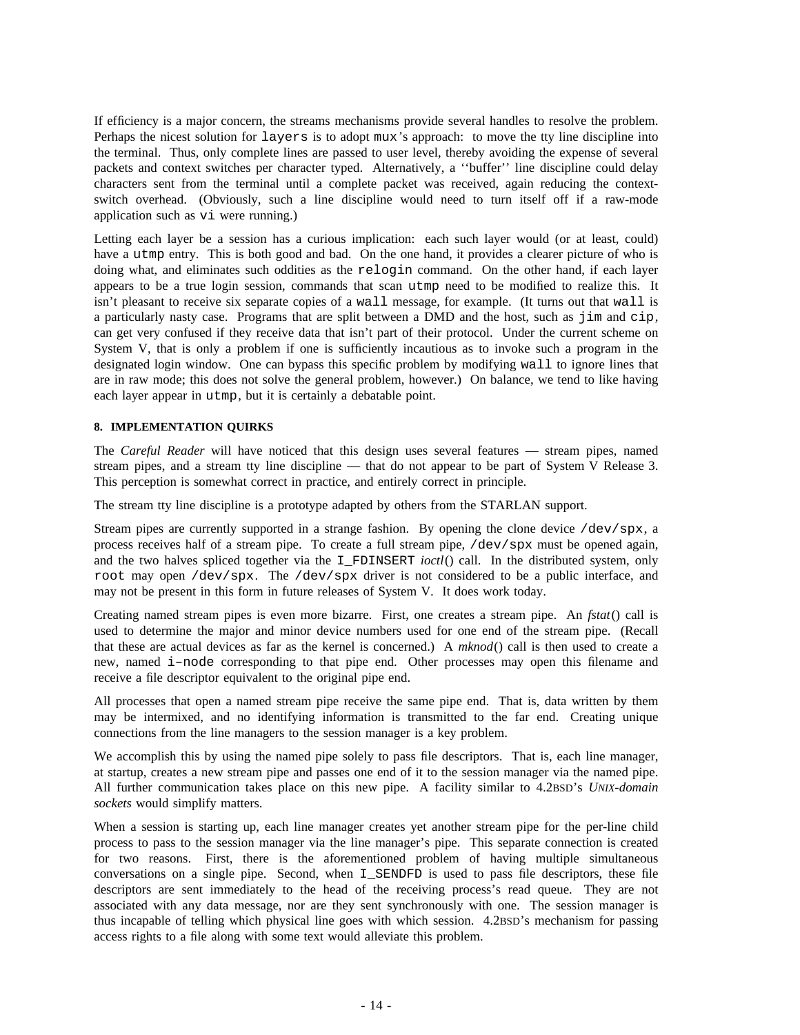If efficiency is a major concern, the streams mechanisms provide several handles to resolve the problem. Perhaps the nicest solution for layers is to adopt mux's approach: to move the tty line discipline into the terminal. Thus, only complete lines are passed to user level, thereby avoiding the expense of several packets and context switches per character typed. Alternatively, a ''buffer'' line discipline could delay characters sent from the terminal until a complete packet was received, again reducing the contextswitch overhead. (Obviously, such a line discipline would need to turn itself off if a raw-mode application such as vi were running.)

Letting each layer be a session has a curious implication: each such layer would (or at least, could) have a utmp entry. This is both good and bad. On the one hand, it provides a clearer picture of who is doing what, and eliminates such oddities as the relogin command. On the other hand, if each layer appears to be a true login session, commands that scan utmp need to be modified to realize this. It isn't pleasant to receive six separate copies of a wall message, for example. (It turns out that wall is a particularly nasty case. Programs that are split between a DMD and the host, such as jim and cip, can get very confused if they receive data that isn't part of their protocol. Under the current scheme on System V, that is only a problem if one is sufficiently incautious as to invoke such a program in the designated login window. One can bypass this specific problem by modifying wall to ignore lines that are in raw mode; this does not solve the general problem, however.) On balance, we tend to like having each layer appear in utmp, but it is certainly a debatable point.

# **8. IMPLEMENTATION QUIRKS**

The *Careful Reader* will have noticed that this design uses several features — stream pipes, named stream pipes, and a stream tty line discipline — that do not appear to be part of System V Release 3. This perception is somewhat correct in practice, and entirely correct in principle.

The stream tty line discipline is a prototype adapted by others from the STARLAN support.

Stream pipes are currently supported in a strange fashion. By opening the clone device /dev/spx, a process receives half of a stream pipe. To create a full stream pipe, /dev/spx must be opened again, and the two halves spliced together via the I\_FDINSERT *ioctl*() call. In the distributed system, only root may open /dev/spx. The /dev/spx driver is not considered to be a public interface, and may not be present in this form in future releases of System V. It does work today.

Creating named stream pipes is even more bizarre. First, one creates a stream pipe. An *fstat*() call is used to determine the major and minor device numbers used for one end of the stream pipe. (Recall that these are actual devices as far as the kernel is concerned.) A *mknod*() call is then used to create a new, named i–node corresponding to that pipe end. Other processes may open this filename and receive a file descriptor equivalent to the original pipe end.

All processes that open a named stream pipe receive the same pipe end. That is, data written by them may be intermixed, and no identifying information is transmitted to the far end. Creating unique connections from the line managers to the session manager is a key problem.

We accomplish this by using the named pipe solely to pass file descriptors. That is, each line manager, at startup, creates a new stream pipe and passes one end of it to the session manager via the named pipe. All further communication takes place on this new pipe. A facility similar to 4.2BSD's *UNIX-domain sockets* would simplify matters.

When a session is starting up, each line manager creates yet another stream pipe for the per-line child process to pass to the session manager via the line manager's pipe. This separate connection is created for two reasons. First, there is the aforementioned problem of having multiple simultaneous conversations on a single pipe. Second, when I\_SENDFD is used to pass file descriptors, these file descriptors are sent immediately to the head of the receiving process's read queue. They are not associated with any data message, nor are they sent synchronously with one. The session manager is thus incapable of telling which physical line goes with which session. 4.2BSD's mechanism for passing access rights to a file along with some text would alleviate this problem.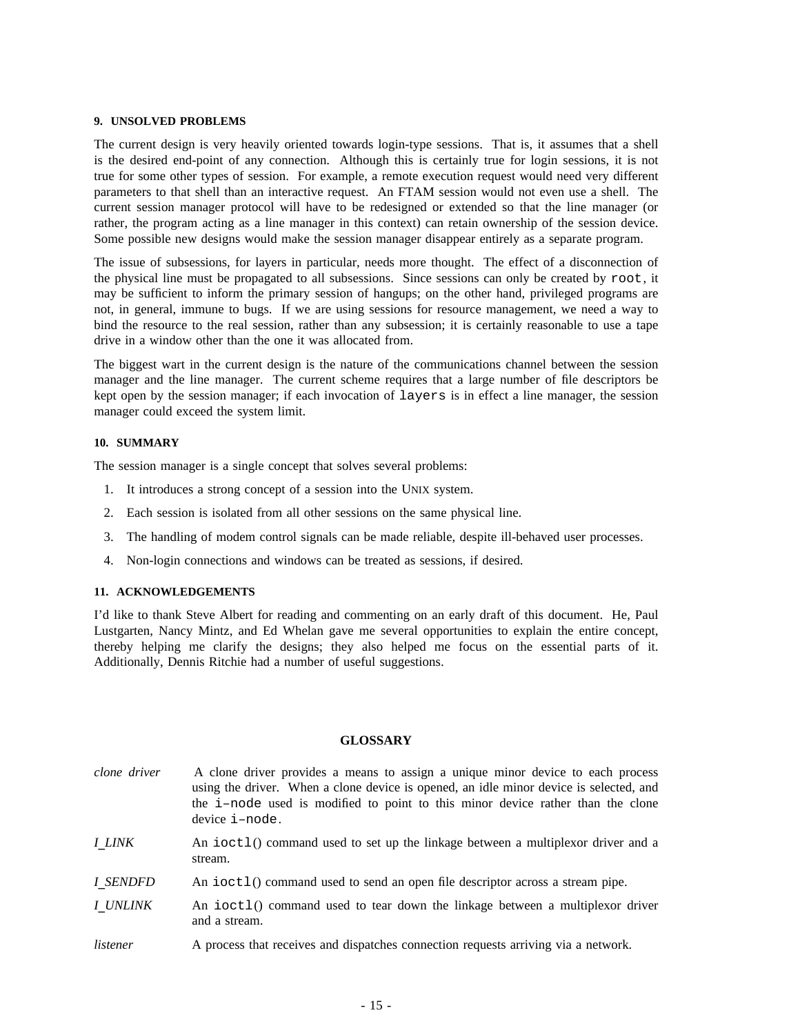#### **9. UNSOLVED PROBLEMS**

The current design is very heavily oriented towards login-type sessions. That is, it assumes that a shell is the desired end-point of any connection. Although this is certainly true for login sessions, it is not true for some other types of session. For example, a remote execution request would need very different parameters to that shell than an interactive request. An FTAM session would not even use a shell. The current session manager protocol will have to be redesigned or extended so that the line manager (or rather, the program acting as a line manager in this context) can retain ownership of the session device. Some possible new designs would make the session manager disappear entirely as a separate program.

The issue of subsessions, for layers in particular, needs more thought. The effect of a disconnection of the physical line must be propagated to all subsessions. Since sessions can only be created by root, it may be sufficient to inform the primary session of hangups; on the other hand, privileged programs are not, in general, immune to bugs. If we are using sessions for resource management, we need a way to bind the resource to the real session, rather than any subsession; it is certainly reasonable to use a tape drive in a window other than the one it was allocated from.

The biggest wart in the current design is the nature of the communications channel between the session manager and the line manager. The current scheme requires that a large number of file descriptors be kept open by the session manager; if each invocation of layers is in effect a line manager, the session manager could exceed the system limit.

#### **10. SUMMARY**

The session manager is a single concept that solves several problems:

- 1. It introduces a strong concept of a session into the UNIX system.
- 2. Each session is isolated from all other sessions on the same physical line.
- 3. The handling of modem control signals can be made reliable, despite ill-behaved user processes.
- 4. Non-login connections and windows can be treated as sessions, if desired.

# **11. ACKNOWLEDGEMENTS**

I'd like to thank Steve Albert for reading and commenting on an early draft of this document. He, Paul Lustgarten, Nancy Mintz, and Ed Whelan gave me several opportunities to explain the entire concept, thereby helping me clarify the designs; they also helped me focus on the essential parts of it. Additionally, Dennis Ritchie had a number of useful suggestions.

# **GLOSSARY**

| clone driver | A clone driver provides a means to assign a unique minor device to each process<br>using the driver. When a clone device is opened, an idle minor device is selected, and<br>the i-node used is modified to point to this minor device rather than the clone<br>device i-node. |
|--------------|--------------------------------------------------------------------------------------------------------------------------------------------------------------------------------------------------------------------------------------------------------------------------------|
| I LINK       | An ioctl() command used to set up the linkage between a multiplex or driver and a<br>stream.                                                                                                                                                                                   |
| I SENDFD     | An ioctl() command used to send an open file descriptor across a stream pipe.                                                                                                                                                                                                  |
| I UNLINK     | An ioctl() command used to tear down the linkage between a multiplexor driver<br>and a stream.                                                                                                                                                                                 |
| listener     | A process that receives and dispatches connection requests arriving via a network.                                                                                                                                                                                             |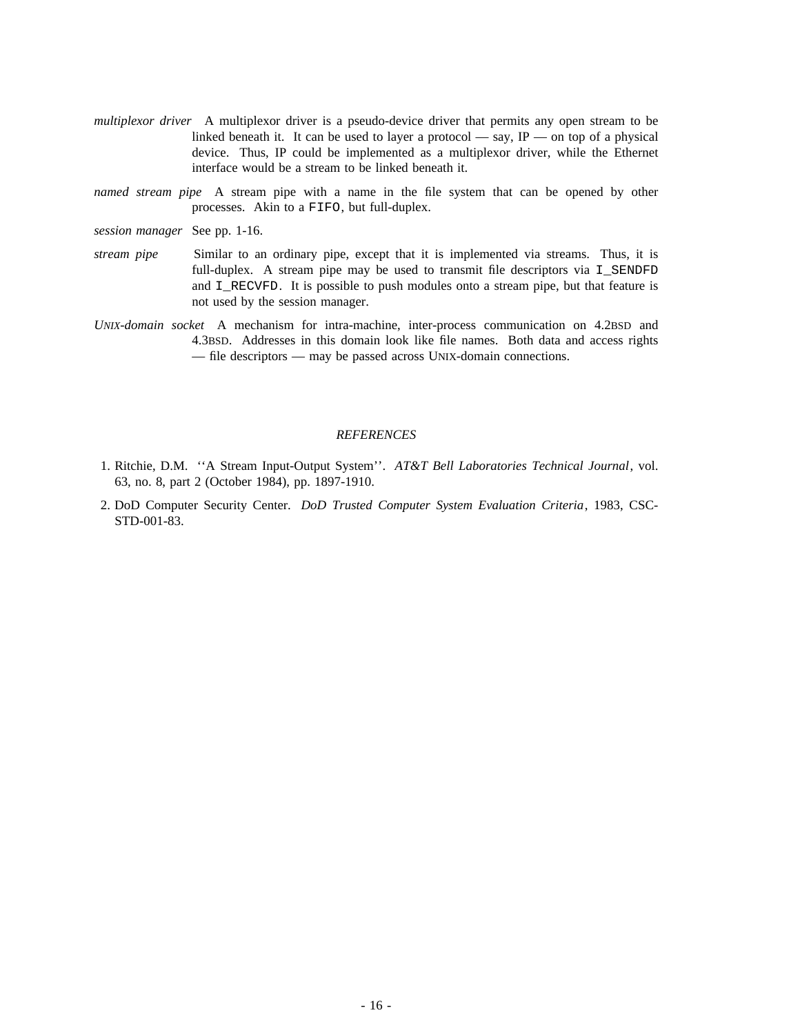- *multiplexor driver* A multiplexor driver is a pseudo-device driver that permits any open stream to be linked beneath it. It can be used to layer a protocol — say,  $IP$  — on top of a physical device. Thus, IP could be implemented as a multiplexor driver, while the Ethernet interface would be a stream to be linked beneath it.
- *named stream pipe* A stream pipe with a name in the file system that can be opened by other processes. Akin to a FIFO, but full-duplex.
- *session manager* See pp. 1-16.
- *stream pipe* Similar to an ordinary pipe, except that it is implemented via streams. Thus, it is full-duplex. A stream pipe may be used to transmit file descriptors via I\_SENDFD and I\_RECVFD. It is possible to push modules onto a stream pipe, but that feature is not used by the session manager.
- *UNIX-domain socket* A mechanism for intra-machine, inter-process communication on 4.2BSD and 4.3BSD. Addresses in this domain look like file names. Both data and access rights — file descriptors — may be passed across UNIX-domain connections.

# *REFERENCES*

- 1. Ritchie, D.M. ''A Stream Input-Output System''. *AT&T Bell Laboratories Technical Journal*, vol. 63, no. 8, part 2 (October 1984), pp. 1897-1910.
- 2. DoD Computer Security Center. *DoD Trusted Computer System Evaluation Criteria*, 1983, CSC-STD-001-83.